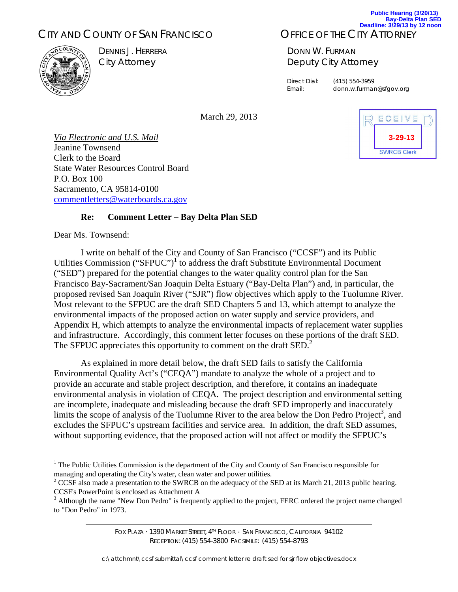# CITY AND COUNTY OF SAN FRANCISCO



DENNIS J. HERRERA City Attorney

#### OFFICE OF THE CITY ATTORNEY **Deadline: 3/29/13 by 12 noon**

DONN W. FURMAN De puty City A Attorney

Direct Dial: (41 Email:

ail: donn.w.furman@sfgov.org 5) 554-3959

March 29, 2013

*Via Electronic and U.S. Mail* Jeanine T Townsend Clerk to the Board State Water Resources Control Board P.O. Box 100 Sacramento, CA 95814-0100 comment letters @waterboards.ca.gov

#### **R Re:** Comment Letter - Bay Delta Plan SED

Dear Ms . Townsend:

is. Townsend:<br>I write on behalf of the City and County of San Francisco ("CCSF") and its Public Utilities Commission ("SFPUC")<sup>1</sup> to address the draft Substitute Environmental Document ("SED") prepared for the potential changes to the water quality control plan for the San Francisco Bay-Sacrament/San Joaquin Delta Estuary ("Bay-Delta Plan") and, in particular, the proposed revised San Joaquin River ("SJR") flow objectives which apply to the Tuolumne River. Most relevant to the SFPUC are the draft SED Chapters 5 and 13, which attempt to analyze the environmental impacts of the proposed action on water supply and service providers, and Appendix H, which attempts to analyze the environmental impacts of replacement water supplies and infrastructure. Accordingly, this comment letter focuses on these portions of the draft SED. The SFPUC appreciates this opportunity to comment on the draft  $\text{SED}^2$ .

As explained in more detail below, the draft SED fails to satisfy the California Environmental Quality Act's ("CEQA") mandate to analyze the whole of a project and to provide an accurate and stable project description, and therefore, it contains an inadequate environmental analysis in violation of CEQA. The project description and environmental setting are incomplete, inadequate and misleading because the draft SED improperly and inaccurately limits the scope of analysis of the Tuolumne River to the area below the Don Pedro Project<sup>3</sup>, and excludes the SFPUC's upstream facilities and service area. In addition, the draft SED assumes, without supporting evidence, that the proposed action will not affect or modify the SFPUC's

Fox Plaza • 1390 Market Street, 4™ Floor • San Francisco, California 94102 Fox PLAzA · 1390 MARKET STREET, 4™ FLOOR · SAN FRANCISCO, CALIFORNIA 94102<br>RECEPTION: (415) 554-3800 FACSIMILE: (415) 554-8793<br>C:\attchmnt\ccsf submittal\ccsf comment letter re draft sed for sjr flow objectives.docx RECEPTION: (415) 554-3800 FACSIMILE: (415) 554-8793



**Public Hearing (3/20/13) Bay-Delta Plan SED**

<sup>&</sup>lt;sup>1</sup> The Public Utilities Commission is the department of the City and County of San Francisco responsible for managing and operating the City's water, clean water and power utilities. without supporting evidence, that the proposed action will not affect or modify the SFPUC's<br>
<sup>1</sup> The Public Utilities Commission is the department of the City and County of San Francisco responsible for<br>
<sup>2</sup> CCSF also made

CCSF's PowerPoint is enclosed as Attachment A

 $3$  Although the name "New Don Pedro" is frequently applied to the project, FERC ordered the project name changed to "Don Pedro" in 1973.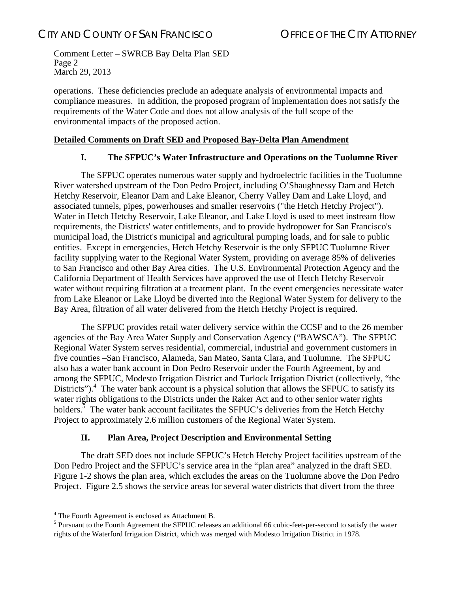Comment Letter – SWRCB Bay Delta Plan SED Page 2 March 29, 2013

operations. These deficiencies preclude an adequate analysis of environmental impacts and compliance measures. In addition, the proposed program of implementation does not satisfy the requirements of the Water Code and does not allow analysis of the full scope of the environmental impacts of the proposed action.

### **Detailed Comments on Draft SED and Proposed Bay-Delta Plan Amendment**

### **I. The SFPUC's Water Infrastructure and Operations on the Tuolumne River**

The SFPUC operates numerous water supply and hydroelectric facilities in the Tuolumne River watershed upstream of the Don Pedro Project, including O'Shaughnessy Dam and Hetch Hetchy Reservoir, Eleanor Dam and Lake Eleanor, Cherry Valley Dam and Lake Lloyd, and associated tunnels, pipes, powerhouses and smaller reservoirs ("the Hetch Hetchy Project"). Water in Hetch Hetchy Reservoir, Lake Eleanor, and Lake Lloyd is used to meet instream flow requirements, the Districts' water entitlements, and to provide hydropower for San Francisco's municipal load, the District's municipal and agricultural pumping loads, and for sale to public entities. Except in emergencies, Hetch Hetchy Reservoir is the only SFPUC Tuolumne River facility supplying water to the Regional Water System, providing on average 85% of deliveries to San Francisco and other Bay Area cities. The U.S. Environmental Protection Agency and the California Department of Health Services have approved the use of Hetch Hetchy Reservoir water without requiring filtration at a treatment plant. In the event emergencies necessitate water from Lake Eleanor or Lake Lloyd be diverted into the Regional Water System for delivery to the Bay Area, filtration of all water delivered from the Hetch Hetchy Project is required.

The SFPUC provides retail water delivery service within the CCSF and to the 26 member agencies of the Bay Area Water Supply and Conservation Agency ("BAWSCA"). The SFPUC Regional Water System serves residential, commercial, industrial and government customers in five counties –San Francisco, Alameda, San Mateo, Santa Clara, and Tuolumne. The SFPUC also has a water bank account in Don Pedro Reservoir under the Fourth Agreement, by and among the SFPUC, Modesto Irrigation District and Turlock Irrigation District (collectively, "the Districts"). $4$  The water bank account is a physical solution that allows the SFPUC to satisfy its water rights obligations to the Districts under the Raker Act and to other senior water rights holders.<sup>5</sup> The water bank account facilitates the SFPUC's deliveries from the Hetch Hetchy Project to approximately 2.6 million customers of the Regional Water System.

### **II. Plan Area, Project Description and Environmental Setting**

The draft SED does not include SFPUC's Hetch Hetchy Project facilities upstream of the Don Pedro Project and the SFPUC's service area in the "plan area" analyzed in the draft SED. Figure 1-2 shows the plan area, which excludes the areas on the Tuolumne above the Don Pedro Project. Figure 2.5 shows the service areas for several water districts that divert from the three

1

<sup>&</sup>lt;sup>4</sup> The Fourth Agreement is enclosed as Attachment B.

<sup>&</sup>lt;sup>5</sup> Pursuant to the Fourth Agreement the SFPUC releases an additional 66 cubic-feet-per-second to satisfy the water rights of the Waterford Irrigation District, which was merged with Modesto Irrigation District in 1978.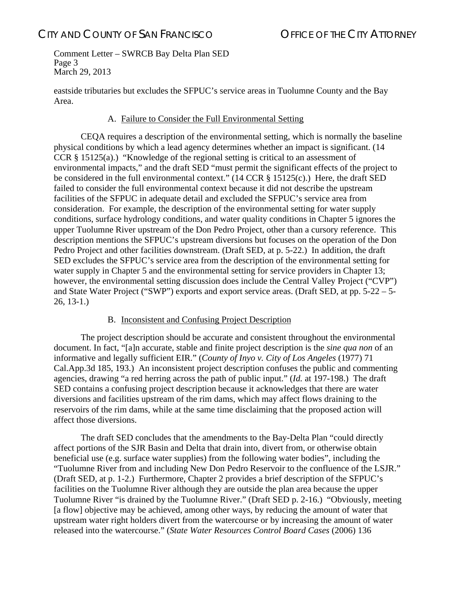Comment Letter – SWRCB Bay Delta Plan SED Page 3 March 29, 2013

eastside tributaries but excludes the SFPUC's service areas in Tuolumne County and the Bay Area.

### A. Failure to Consider the Full Environmental Setting

CEQA requires a description of the environmental setting, which is normally the baseline physical conditions by which a lead agency determines whether an impact is significant. (14 CCR § 15125(a).) "Knowledge of the regional setting is critical to an assessment of environmental impacts," and the draft SED "must permit the significant effects of the project to be considered in the full environmental context." (14 CCR § 15125(c).) Here, the draft SED failed to consider the full environmental context because it did not describe the upstream facilities of the SFPUC in adequate detail and excluded the SFPUC's service area from consideration. For example, the description of the environmental setting for water supply conditions, surface hydrology conditions, and water quality conditions in Chapter 5 ignores the upper Tuolumne River upstream of the Don Pedro Project, other than a cursory reference. This description mentions the SFPUC's upstream diversions but focuses on the operation of the Don Pedro Project and other facilities downstream. (Draft SED, at p. 5-22.) In addition, the draft SED excludes the SFPUC's service area from the description of the environmental setting for water supply in Chapter 5 and the environmental setting for service providers in Chapter 13; however, the environmental setting discussion does include the Central Valley Project ("CVP") and State Water Project ("SWP") exports and export service areas. (Draft SED, at pp. 5-22 – 5- 26, 13-1.)

### B. Inconsistent and Confusing Project Description

The project description should be accurate and consistent throughout the environmental document. In fact, "[a]n accurate, stable and finite project description is the *sine qua non* of an informative and legally sufficient EIR." (*County of Inyo v. City of Los Angeles* (1977) 71 Cal.App.3d 185, 193.) An inconsistent project description confuses the public and commenting agencies, drawing "a red herring across the path of public input." (*Id.* at 197-198.) The draft SED contains a confusing project description because it acknowledges that there are water diversions and facilities upstream of the rim dams, which may affect flows draining to the reservoirs of the rim dams, while at the same time disclaiming that the proposed action will affect those diversions.

The draft SED concludes that the amendments to the Bay-Delta Plan "could directly affect portions of the SJR Basin and Delta that drain into, divert from, or otherwise obtain beneficial use (e.g. surface water supplies) from the following water bodies", including the "Tuolumne River from and including New Don Pedro Reservoir to the confluence of the LSJR." (Draft SED, at p. 1-2.) Furthermore, Chapter 2 provides a brief description of the SFPUC's facilities on the Tuolumne River although they are outside the plan area because the upper Tuolumne River "is drained by the Tuolumne River." (Draft SED p. 2-16.) "Obviously, meeting [a flow] objective may be achieved, among other ways, by reducing the amount of water that upstream water right holders divert from the watercourse or by increasing the amount of water released into the watercourse." (*State Water Resources Control Board Cases* (2006) 136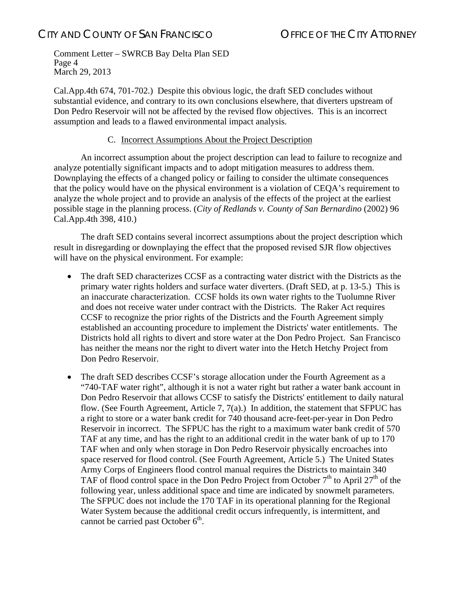Comment Letter – SWRCB Bay Delta Plan SED Page 4 March 29, 2013

Cal.App.4th 674, 701-702.) Despite this obvious logic, the draft SED concludes without substantial evidence, and contrary to its own conclusions elsewhere, that diverters upstream of Don Pedro Reservoir will not be affected by the revised flow objectives. This is an incorrect assumption and leads to a flawed environmental impact analysis.

### C. Incorrect Assumptions About the Project Description

An incorrect assumption about the project description can lead to failure to recognize and analyze potentially significant impacts and to adopt mitigation measures to address them. Downplaying the effects of a changed policy or failing to consider the ultimate consequences that the policy would have on the physical environment is a violation of CEQA's requirement to analyze the whole project and to provide an analysis of the effects of the project at the earliest possible stage in the planning process. (*City of Redlands v. County of San Bernardino* (2002) 96 Cal.App.4th 398, 410.)

The draft SED contains several incorrect assumptions about the project description which result in disregarding or downplaying the effect that the proposed revised SJR flow objectives will have on the physical environment. For example:

- The draft SED characterizes CCSF as a contracting water district with the Districts as the primary water rights holders and surface water diverters. (Draft SED, at p. 13-5.) This is an inaccurate characterization. CCSF holds its own water rights to the Tuolumne River and does not receive water under contract with the Districts. The Raker Act requires CCSF to recognize the prior rights of the Districts and the Fourth Agreement simply established an accounting procedure to implement the Districts' water entitlements. The Districts hold all rights to divert and store water at the Don Pedro Project. San Francisco has neither the means nor the right to divert water into the Hetch Hetchy Project from Don Pedro Reservoir.
- The draft SED describes CCSF's storage allocation under the Fourth Agreement as a "740-TAF water right", although it is not a water right but rather a water bank account in Don Pedro Reservoir that allows CCSF to satisfy the Districts' entitlement to daily natural flow. (See Fourth Agreement, Article 7, 7(a).) In addition, the statement that SFPUC has a right to store or a water bank credit for 740 thousand acre-feet-per-year in Don Pedro Reservoir in incorrect. The SFPUC has the right to a maximum water bank credit of 570 TAF at any time, and has the right to an additional credit in the water bank of up to 170 TAF when and only when storage in Don Pedro Reservoir physically encroaches into space reserved for flood control. (See Fourth Agreement, Article 5.) The United States Army Corps of Engineers flood control manual requires the Districts to maintain 340 TAF of flood control space in the Don Pedro Project from October  $7<sup>th</sup>$  to April 27<sup>th</sup> of the following year, unless additional space and time are indicated by snowmelt parameters. The SFPUC does not include the 170 TAF in its operational planning for the Regional Water System because the additional credit occurs infrequently, is intermittent, and cannot be carried past October  $6<sup>th</sup>$ .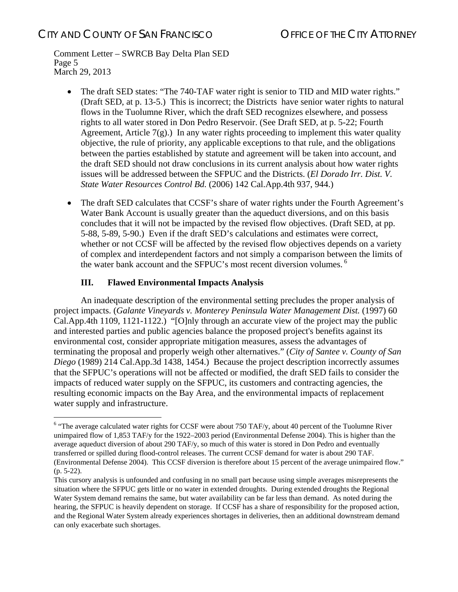Comment Letter – SWRCB Bay Delta Plan SED Page 5 March 29, 2013

- The draft SED states: "The 740-TAF water right is senior to TID and MID water rights." (Draft SED, at p. 13-5.) This is incorrect; the Districts have senior water rights to natural flows in the Tuolumne River, which the draft SED recognizes elsewhere, and possess rights to all water stored in Don Pedro Reservoir. (See Draft SED, at p. 5-22; Fourth Agreement, Article  $7(g)$ .) In any water rights proceeding to implement this water quality objective, the rule of priority, any applicable exceptions to that rule, and the obligations between the parties established by statute and agreement will be taken into account, and the draft SED should not draw conclusions in its current analysis about how water rights issues will be addressed between the SFPUC and the Districts. (*El Dorado Irr. Dist. V. State Water Resources Control Bd.* (2006) 142 Cal.App.4th 937, 944.)
- The draft SED calculates that CCSF's share of water rights under the Fourth Agreement's Water Bank Account is usually greater than the aqueduct diversions, and on this basis concludes that it will not be impacted by the revised flow objectives. (Draft SED, at pp. 5-88, 5-89, 5-90.) Even if the draft SED's calculations and estimates were correct, whether or not CCSF will be affected by the revised flow objectives depends on a variety of complex and interdependent factors and not simply a comparison between the limits of the water bank account and the SFPUC's most recent diversion volumes.<sup>6</sup>

### **III. Flawed Environmental Impacts Analysis**

1

An inadequate description of the environmental setting precludes the proper analysis of project impacts. (*Galante Vineyards v. Monterey Peninsula Water Management Dist.* (1997) 60 Cal.App.4th 1109, 1121-1122.) "[O]nly through an accurate view of the project may the public and interested parties and public agencies balance the proposed project's benefits against its environmental cost, consider appropriate mitigation measures, assess the advantages of terminating the proposal and properly weigh other alternatives." (*City of Santee v. County of San Diego* (1989) 214 Cal.App.3d 1438, 1454.) Because the project description incorrectly assumes that the SFPUC's operations will not be affected or modified, the draft SED fails to consider the impacts of reduced water supply on the SFPUC, its customers and contracting agencies, the resulting economic impacts on the Bay Area, and the environmental impacts of replacement water supply and infrastructure.

 $6$  "The average calculated water rights for CCSF were about 750 TAF/y, about 40 percent of the Tuolumne River unimpaired flow of 1,853 TAF/y for the 1922–2003 period (Environmental Defense 2004). This is higher than the average aqueduct diversion of about 290 TAF/y, so much of this water is stored in Don Pedro and eventually transferred or spilled during flood-control releases. The current CCSF demand for water is about 290 TAF. (Environmental Defense 2004). This CCSF diversion is therefore about 15 percent of the average unimpaired flow." (p. 5-22).

This cursory analysis is unfounded and confusing in no small part because using simple averages misrepresents the situation where the SFPUC gets little or no water in extended droughts. During extended droughts the Regional Water System demand remains the same, but water availability can be far less than demand. As noted during the hearing, the SFPUC is heavily dependent on storage. If CCSF has a share of responsibility for the proposed action, and the Regional Water System already experiences shortages in deliveries, then an additional downstream demand can only exacerbate such shortages.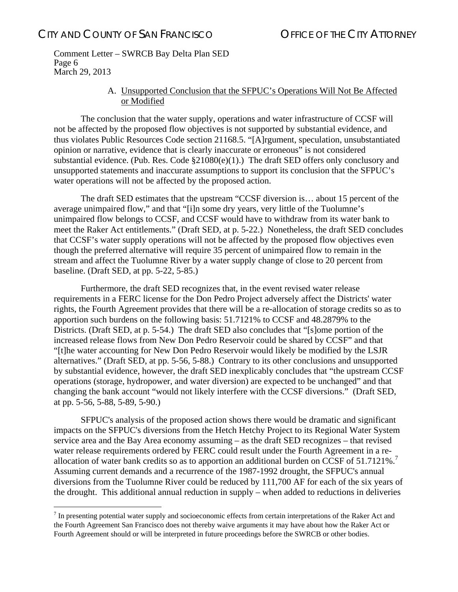1

Comment Letter – SWRCB Bay Delta Plan SED Page 6 March 29, 2013

### A. Unsupported Conclusion that the SFPUC's Operations Will Not Be Affected or Modified

The conclusion that the water supply, operations and water infrastructure of CCSF will not be affected by the proposed flow objectives is not supported by substantial evidence, and thus violates Public Resources Code section 21168.5. "[A]rgument, speculation, unsubstantiated opinion or narrative, evidence that is clearly inaccurate or erroneous" is not considered substantial evidence. (Pub. Res. Code §21080(e)(1).) The draft SED offers only conclusory and unsupported statements and inaccurate assumptions to support its conclusion that the SFPUC's water operations will not be affected by the proposed action.

The draft SED estimates that the upstream "CCSF diversion is… about 15 percent of the average unimpaired flow," and that "[i]n some dry years, very little of the Tuolumne's unimpaired flow belongs to CCSF, and CCSF would have to withdraw from its water bank to meet the Raker Act entitlements." (Draft SED, at p. 5-22.) Nonetheless, the draft SED concludes that CCSF's water supply operations will not be affected by the proposed flow objectives even though the preferred alternative will require 35 percent of unimpaired flow to remain in the stream and affect the Tuolumne River by a water supply change of close to 20 percent from baseline. (Draft SED, at pp. 5-22, 5-85.)

Furthermore, the draft SED recognizes that, in the event revised water release requirements in a FERC license for the Don Pedro Project adversely affect the Districts' water rights, the Fourth Agreement provides that there will be a re-allocation of storage credits so as to apportion such burdens on the following basis: 51.7121% to CCSF and 48.2879% to the Districts. (Draft SED, at p. 5-54.) The draft SED also concludes that "[s]ome portion of the increased release flows from New Don Pedro Reservoir could be shared by CCSF" and that "[t]he water accounting for New Don Pedro Reservoir would likely be modified by the LSJR alternatives." (Draft SED, at pp. 5-56, 5-88.) Contrary to its other conclusions and unsupported by substantial evidence, however, the draft SED inexplicably concludes that "the upstream CCSF operations (storage, hydropower, and water diversion) are expected to be unchanged" and that changing the bank account "would not likely interfere with the CCSF diversions." (Draft SED, at pp. 5-56, 5-88, 5-89, 5-90.)

SFPUC's analysis of the proposed action shows there would be dramatic and significant impacts on the SFPUC's diversions from the Hetch Hetchy Project to its Regional Water System service area and the Bay Area economy assuming – as the draft SED recognizes – that revised water release requirements ordered by FERC could result under the Fourth Agreement in a reallocation of water bank credits so as to apportion an additional burden on CCSF of  $51.7121\%$ . Assuming current demands and a recurrence of the 1987-1992 drought, the SFPUC's annual diversions from the Tuolumne River could be reduced by 111,700 AF for each of the six years of the drought. This additional annual reduction in supply – when added to reductions in deliveries

 $<sup>7</sup>$  In presenting potential water supply and socioeconomic effects from certain interpretations of the Raker Act and</sup> the Fourth Agreement San Francisco does not thereby waive arguments it may have about how the Raker Act or Fourth Agreement should or will be interpreted in future proceedings before the SWRCB or other bodies.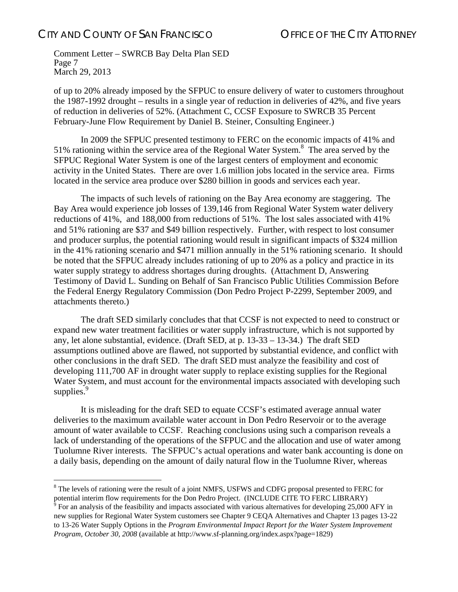$\overline{a}$ 

Comment Letter – SWRCB Bay Delta Plan SED Page 7 March 29, 2013

of up to 20% already imposed by the SFPUC to ensure delivery of water to customers throughout the 1987-1992 drought – results in a single year of reduction in deliveries of 42%, and five years of reduction in deliveries of 52%. (Attachment C, CCSF Exposure to SWRCB 35 Percent February-June Flow Requirement by Daniel B. Steiner, Consulting Engineer.)

In 2009 the SFPUC presented testimony to FERC on the economic impacts of 41% and 51% rationing within the service area of the Regional Water System. $8$  The area served by the SFPUC Regional Water System is one of the largest centers of employment and economic activity in the United States. There are over 1.6 million jobs located in the service area. Firms located in the service area produce over \$280 billion in goods and services each year.

The impacts of such levels of rationing on the Bay Area economy are staggering. The Bay Area would experience job losses of 139,146 from Regional Water System water delivery reductions of 41%, and 188,000 from reductions of 51%. The lost sales associated with 41% and 51% rationing are \$37 and \$49 billion respectively. Further, with respect to lost consumer and producer surplus, the potential rationing would result in significant impacts of \$324 million in the 41% rationing scenario and \$471 million annually in the 51% rationing scenario. It should be noted that the SFPUC already includes rationing of up to 20% as a policy and practice in its water supply strategy to address shortages during droughts. (Attachment D, Answering Testimony of David L. Sunding on Behalf of San Francisco Public Utilities Commission Before the Federal Energy Regulatory Commission (Don Pedro Project P-2299, September 2009, and attachments thereto.)

The draft SED similarly concludes that that CCSF is not expected to need to construct or expand new water treatment facilities or water supply infrastructure, which is not supported by any, let alone substantial, evidence. (Draft SED, at p. 13-33 – 13-34.) The draft SED assumptions outlined above are flawed, not supported by substantial evidence, and conflict with other conclusions in the draft SED. The draft SED must analyze the feasibility and cost of developing 111,700 AF in drought water supply to replace existing supplies for the Regional Water System, and must account for the environmental impacts associated with developing such supplies. $9$ 

It is misleading for the draft SED to equate CCSF's estimated average annual water deliveries to the maximum available water account in Don Pedro Reservoir or to the average amount of water available to CCSF. Reaching conclusions using such a comparison reveals a lack of understanding of the operations of the SFPUC and the allocation and use of water among Tuolumne River interests. The SFPUC's actual operations and water bank accounting is done on a daily basis, depending on the amount of daily natural flow in the Tuolumne River, whereas

<sup>&</sup>lt;sup>8</sup> The levels of rationing were the result of a joint NMFS, USFWS and CDFG proposal presented to FERC for potential interim flow requirements for the Don Pedro Project. (INCLUDE CITE TO FERC LIBRARY)

 $\degree$  For an analysis of the feasibility and impacts associated with various alternatives for developing 25,000 AFY in new supplies for Regional Water System customers see Chapter 9 CEQA Alternatives and Chapter 13 pages 13-22 to 13-26 Water Supply Options in the *Program Environmental Impact Report for the Water System Improvement Program, October 30, 2008* (available at http://www.sf-planning.org/index.aspx?page=1829)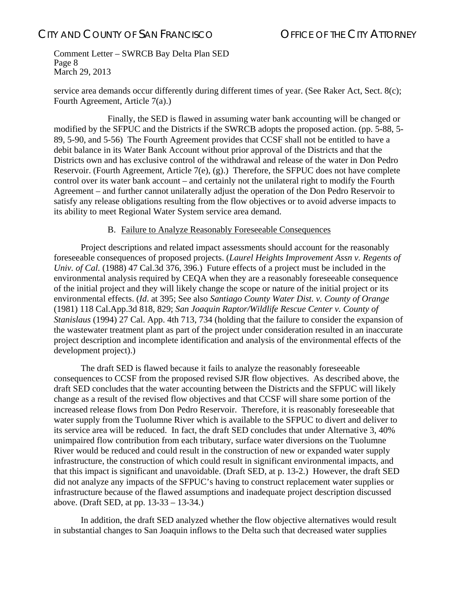Comment Letter – SWRCB Bay Delta Plan SED Page 8 March 29, 2013

service area demands occur differently during different times of year. (See Raker Act, Sect. 8(c); Fourth Agreement, Article 7(a).)

 Finally, the SED is flawed in assuming water bank accounting will be changed or modified by the SFPUC and the Districts if the SWRCB adopts the proposed action. (pp. 5-88, 5- 89, 5-90, and 5-56) The Fourth Agreement provides that CCSF shall not be entitled to have a debit balance in its Water Bank Account without prior approval of the Districts and that the Districts own and has exclusive control of the withdrawal and release of the water in Don Pedro Reservoir. (Fourth Agreement, Article 7(e), (g).) Therefore, the SFPUC does not have complete control over its water bank account – and certainly not the unilateral right to modify the Fourth Agreement – and further cannot unilaterally adjust the operation of the Don Pedro Reservoir to satisfy any release obligations resulting from the flow objectives or to avoid adverse impacts to its ability to meet Regional Water System service area demand.

### B. Failure to Analyze Reasonably Foreseeable Consequences

Project descriptions and related impact assessments should account for the reasonably foreseeable consequences of proposed projects. (*Laurel Heights Improvement Assn v. Regents of Univ. of Cal.* (1988) 47 Cal.3d 376, 396.) Future effects of a project must be included in the environmental analysis required by CEQA when they are a reasonably foreseeable consequence of the initial project and they will likely change the scope or nature of the initial project or its environmental effects. (*Id*. at 395; See also *Santiago County Water Dist. v. County of Orange* (1981) 118 Cal.App.3d 818, 829; *San Joaquin Raptor/Wildlife Rescue Center v. County of Stanislaus* (1994) 27 Cal. App. 4th 713, 734 (holding that the failure to consider the expansion of the wastewater treatment plant as part of the project under consideration resulted in an inaccurate project description and incomplete identification and analysis of the environmental effects of the development project).)

The draft SED is flawed because it fails to analyze the reasonably foreseeable consequences to CCSF from the proposed revised SJR flow objectives. As described above, the draft SED concludes that the water accounting between the Districts and the SFPUC will likely change as a result of the revised flow objectives and that CCSF will share some portion of the increased release flows from Don Pedro Reservoir. Therefore, it is reasonably foreseeable that water supply from the Tuolumne River which is available to the SFPUC to divert and deliver to its service area will be reduced. In fact, the draft SED concludes that under Alternative 3, 40% unimpaired flow contribution from each tributary, surface water diversions on the Tuolumne River would be reduced and could result in the construction of new or expanded water supply infrastructure, the construction of which could result in significant environmental impacts, and that this impact is significant and unavoidable. (Draft SED, at p. 13-2.) However, the draft SED did not analyze any impacts of the SFPUC's having to construct replacement water supplies or infrastructure because of the flawed assumptions and inadequate project description discussed above. (Draft SED, at pp. 13-33 – 13-34.)

In addition, the draft SED analyzed whether the flow objective alternatives would result in substantial changes to San Joaquin inflows to the Delta such that decreased water supplies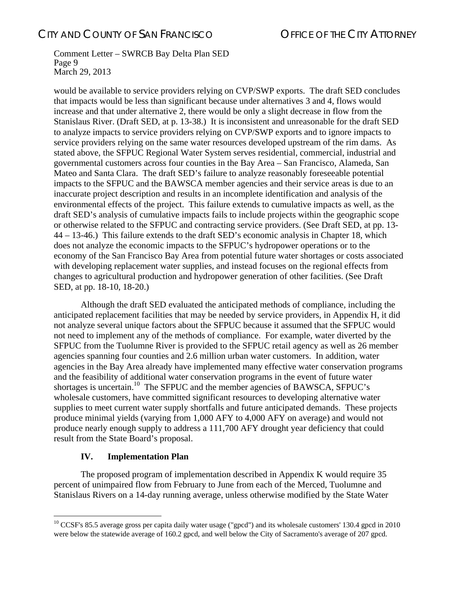#### Comment Letter – SWRCB Bay Delta Plan SED Page 9 March 29, 2013

would be available to service providers relying on CVP/SWP exports. The draft SED concludes that impacts would be less than significant because under alternatives 3 and 4, flows would increase and that under alternative 2, there would be only a slight decrease in flow from the Stanislaus River. (Draft SED, at p. 13-38.) It is inconsistent and unreasonable for the draft SED to analyze impacts to service providers relying on CVP/SWP exports and to ignore impacts to service providers relying on the same water resources developed upstream of the rim dams. As stated above, the SFPUC Regional Water System serves residential, commercial, industrial and governmental customers across four counties in the Bay Area – San Francisco, Alameda, San Mateo and Santa Clara. The draft SED's failure to analyze reasonably foreseeable potential impacts to the SFPUC and the BAWSCA member agencies and their service areas is due to an inaccurate project description and results in an incomplete identification and analysis of the environmental effects of the project. This failure extends to cumulative impacts as well, as the draft SED's analysis of cumulative impacts fails to include projects within the geographic scope or otherwise related to the SFPUC and contracting service providers. (See Draft SED, at pp. 13- 44 – 13-46.) This failure extends to the draft SED's economic analysis in Chapter 18, which does not analyze the economic impacts to the SFPUC's hydropower operations or to the economy of the San Francisco Bay Area from potential future water shortages or costs associated with developing replacement water supplies, and instead focuses on the regional effects from changes to agricultural production and hydropower generation of other facilities. (See Draft SED, at pp. 18-10, 18-20.)

Although the draft SED evaluated the anticipated methods of compliance, including the anticipated replacement facilities that may be needed by service providers, in Appendix H, it did not analyze several unique factors about the SFPUC because it assumed that the SFPUC would not need to implement any of the methods of compliance. For example, water diverted by the SFPUC from the Tuolumne River is provided to the SFPUC retail agency as well as 26 member agencies spanning four counties and 2.6 million urban water customers. In addition, water agencies in the Bay Area already have implemented many effective water conservation programs and the feasibility of additional water conservation programs in the event of future water shortages is uncertain.<sup>10</sup> The SFPUC and the member agencies of BAWSCA, SFPUC's wholesale customers, have committed significant resources to developing alternative water supplies to meet current water supply shortfalls and future anticipated demands. These projects produce minimal yields (varying from 1,000 AFY to 4,000 AFY on average) and would not produce nearly enough supply to address a 111,700 AFY drought year deficiency that could result from the State Board's proposal.

### **IV. Implementation Plan**

 $\overline{a}$ 

The proposed program of implementation described in Appendix K would require 35 percent of unimpaired flow from February to June from each of the Merced, Tuolumne and Stanislaus Rivers on a 14-day running average, unless otherwise modified by the State Water

 $10$  CCSF's 85.5 average gross per capita daily water usage ("gpcd") and its wholesale customers' 130.4 gpcd in 2010 were below the statewide average of 160.2 gpcd, and well below the City of Sacramento's average of 207 gpcd.